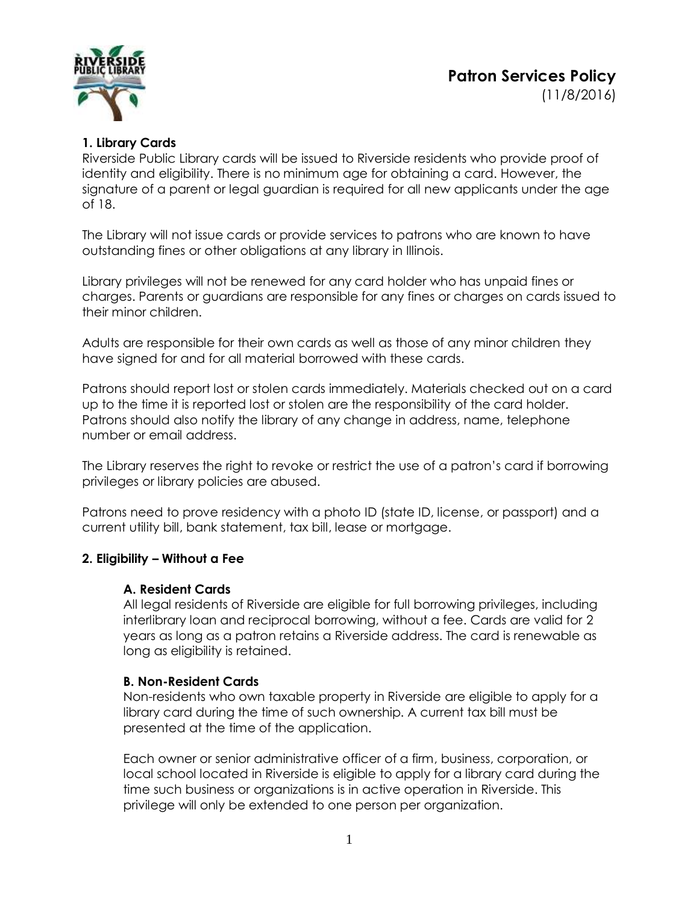**Patron Services Policy** (11/8/2016)



## **1. Library Cards**

Riverside Public Library cards will be issued to Riverside residents who provide proof of identity and eligibility. There is no minimum age for obtaining a card. However, the signature of a parent or legal guardian is required for all new applicants under the age of 18.

The Library will not issue cards or provide services to patrons who are known to have outstanding fines or other obligations at any library in Illinois.

Library privileges will not be renewed for any card holder who has unpaid fines or charges. Parents or guardians are responsible for any fines or charges on cards issued to their minor children.

Adults are responsible for their own cards as well as those of any minor children they have signed for and for all material borrowed with these cards.

Patrons should report lost or stolen cards immediately. Materials checked out on a card up to the time it is reported lost or stolen are the responsibility of the card holder. Patrons should also notify the library of any change in address, name, telephone number or email address.

The Library reserves the right to revoke or restrict the use of a patron's card if borrowing privileges or library policies are abused.

Patrons need to prove residency with a photo ID (state ID, license, or passport) and a current utility bill, bank statement, tax bill, lease or mortgage.

## **2. Eligibility – Without a Fee**

## **A. Resident Cards**

All legal residents of Riverside are eligible for full borrowing privileges, including interlibrary loan and reciprocal borrowing, without a fee. Cards are valid for 2 years as long as a patron retains a Riverside address. The card is renewable as long as eligibility is retained.

## **B. Non-Resident Cards**

Non-residents who own taxable property in Riverside are eligible to apply for a library card during the time of such ownership. A current tax bill must be presented at the time of the application.

Each owner or senior administrative officer of a firm, business, corporation, or local school located in Riverside is eligible to apply for a library card during the time such business or organizations is in active operation in Riverside. This privilege will only be extended to one person per organization.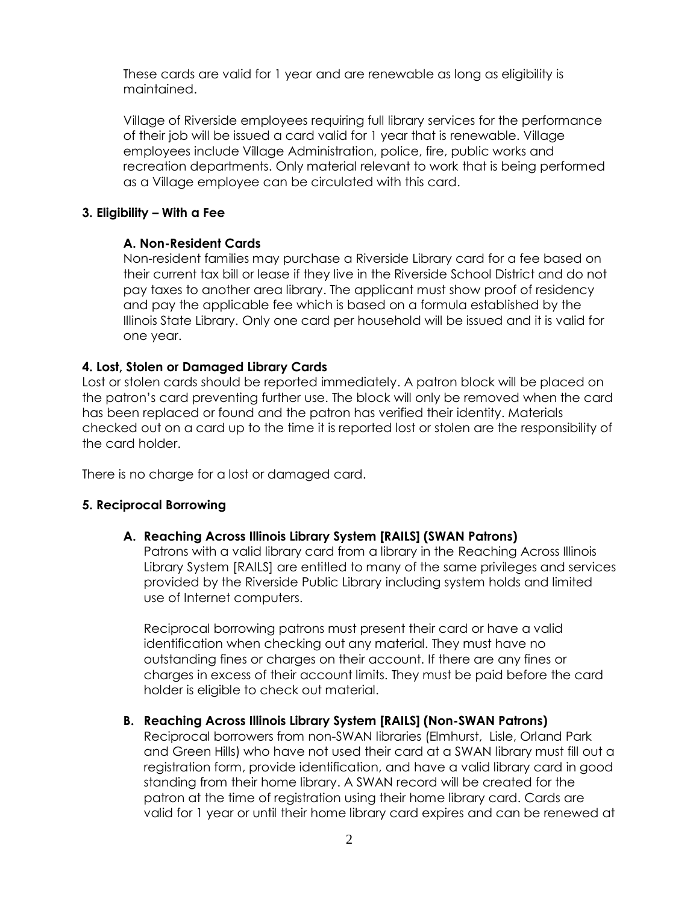These cards are valid for 1 year and are renewable as long as eligibility is maintained.

Village of Riverside employees requiring full library services for the performance of their job will be issued a card valid for 1 year that is renewable. Village employees include Village Administration, police, fire, public works and recreation departments. Only material relevant to work that is being performed as a Village employee can be circulated with this card.

## **3. Eligibility – With a Fee**

## **A. Non-Resident Cards**

Non-resident families may purchase a Riverside Library card for a fee based on their current tax bill or lease if they live in the Riverside School District and do not pay taxes to another area library. The applicant must show proof of residency and pay the applicable fee which is based on a formula established by the Illinois State Library. Only one card per household will be issued and it is valid for one year.

## **4. Lost, Stolen or Damaged Library Cards**

Lost or stolen cards should be reported immediately. A patron block will be placed on the patron's card preventing further use. The block will only be removed when the card has been replaced or found and the patron has verified their identity. Materials checked out on a card up to the time it is reported lost or stolen are the responsibility of the card holder.

There is no charge for a lost or damaged card.

## **5. Reciprocal Borrowing**

## **A. Reaching Across Illinois Library System [RAILS] (SWAN Patrons)**

Patrons with a valid library card from a library in the Reaching Across Illinois Library System [RAILS] are entitled to many of the same privileges and services provided by the Riverside Public Library including system holds and limited use of Internet computers.

Reciprocal borrowing patrons must present their card or have a valid identification when checking out any material. They must have no outstanding fines or charges on their account. If there are any fines or charges in excess of their account limits. They must be paid before the card holder is eligible to check out material.

## **B. Reaching Across Illinois Library System [RAILS] (Non-SWAN Patrons)**

Reciprocal borrowers from non-SWAN libraries (Elmhurst, Lisle, Orland Park and Green Hills) who have not used their card at a SWAN library must fill out a registration form, provide identification, and have a valid library card in good standing from their home library. A SWAN record will be created for the patron at the time of registration using their home library card. Cards are valid for 1 year or until their home library card expires and can be renewed at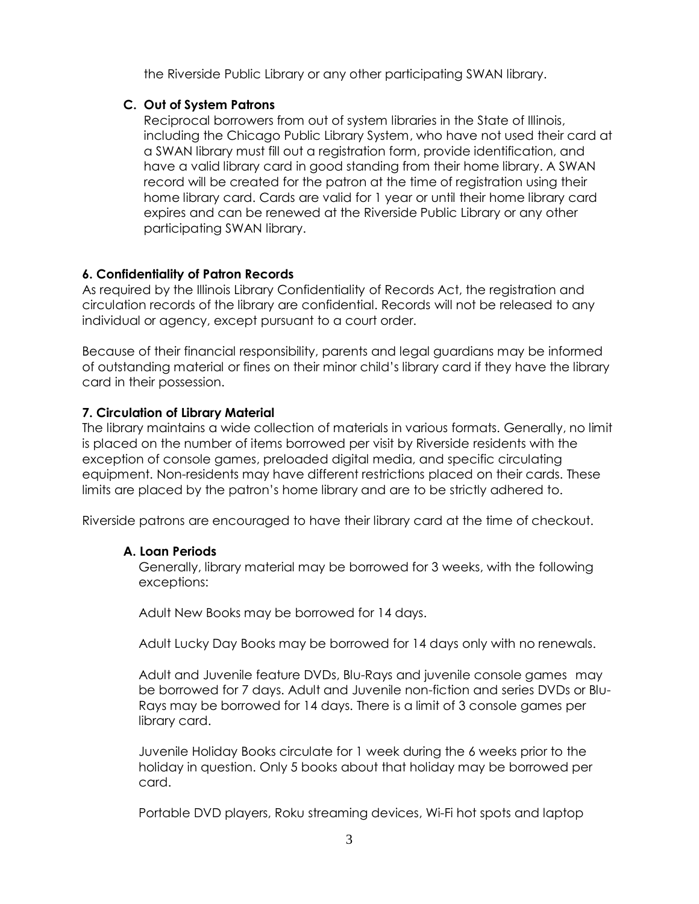the Riverside Public Library or any other participating SWAN library.

## **C. Out of System Patrons**

Reciprocal borrowers from out of system libraries in the State of Illinois, including the Chicago Public Library System, who have not used their card at a SWAN library must fill out a registration form, provide identification, and have a valid library card in good standing from their home library. A SWAN record will be created for the patron at the time of registration using their home library card. Cards are valid for 1 year or until their home library card expires and can be renewed at the Riverside Public Library or any other participating SWAN library.

# **6. Confidentiality of Patron Records**

As required by the Illinois Library Confidentiality of Records Act, the registration and circulation records of the library are confidential. Records will not be released to any individual or agency, except pursuant to a court order.

Because of their financial responsibility, parents and legal guardians may be informed of outstanding material or fines on their minor child's library card if they have the library card in their possession.

# **7. Circulation of Library Material**

The library maintains a wide collection of materials in various formats. Generally, no limit is placed on the number of items borrowed per visit by Riverside residents with the exception of console games, preloaded digital media, and specific circulating equipment. Non-residents may have different restrictions placed on their cards. These limits are placed by the patron's home library and are to be strictly adhered to.

Riverside patrons are encouraged to have their library card at the time of checkout.

# **A. Loan Periods**

Generally, library material may be borrowed for 3 weeks, with the following exceptions:

Adult New Books may be borrowed for 14 days.

Adult Lucky Day Books may be borrowed for 14 days only with no renewals.

Adult and Juvenile feature DVDs, Blu-Rays and juvenile console games may be borrowed for 7 days. Adult and Juvenile non-fiction and series DVDs or Blu-Rays may be borrowed for 14 days. There is a limit of 3 console games per library card.

Juvenile Holiday Books circulate for 1 week during the 6 weeks prior to the holiday in question. Only 5 books about that holiday may be borrowed per card.

Portable DVD players, Roku streaming devices, Wi-Fi hot spots and laptop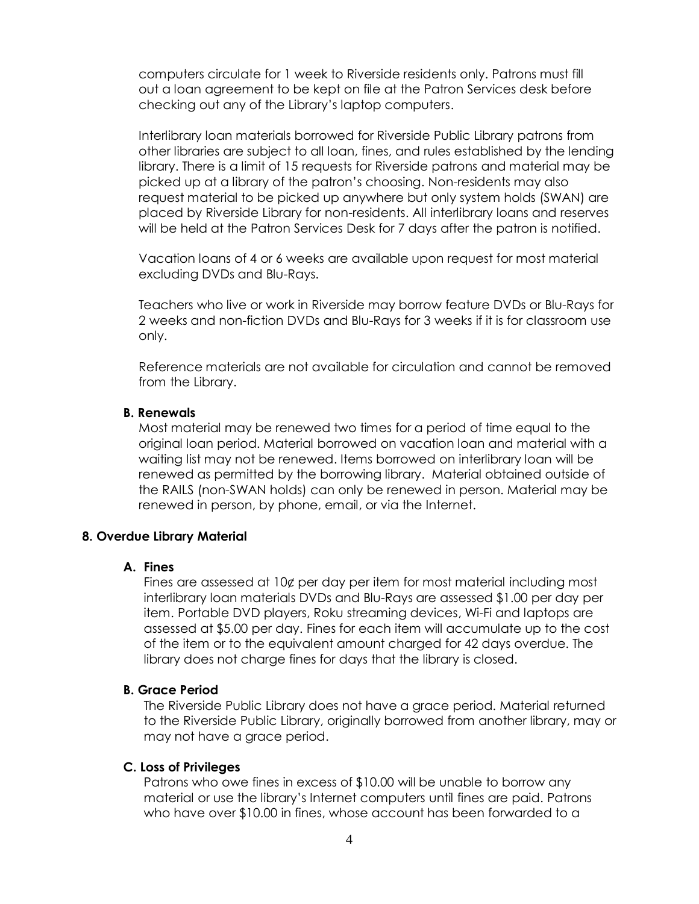computers circulate for 1 week to Riverside residents only. Patrons must fill out a loan agreement to be kept on file at the Patron Services desk before checking out any of the Library's laptop computers.

Interlibrary loan materials borrowed for Riverside Public Library patrons from other libraries are subject to all loan, fines, and rules established by the lending library. There is a limit of 15 requests for Riverside patrons and material may be picked up at a library of the patron's choosing. Non-residents may also request material to be picked up anywhere but only system holds (SWAN) are placed by Riverside Library for non-residents. All interlibrary loans and reserves will be held at the Patron Services Desk for 7 days after the patron is notified.

Vacation loans of 4 or 6 weeks are available upon request for most material excluding DVDs and Blu-Rays.

Teachers who live or work in Riverside may borrow feature DVDs or Blu-Rays for 2 weeks and non-fiction DVDs and Blu-Rays for 3 weeks if it is for classroom use only.

Reference materials are not available for circulation and cannot be removed from the Library.

### **B. Renewals**

Most material may be renewed two times for a period of time equal to the original loan period. Material borrowed on vacation loan and material with a waiting list may not be renewed. Items borrowed on interlibrary loan will be renewed as permitted by the borrowing library. Material obtained outside of the RAILS (non-SWAN holds) can only be renewed in person. Material may be renewed in person, by phone, email, or via the Internet.

#### **8. Overdue Library Material**

### **A. Fines**

Fines are assessed at 10¢ per day per item for most material including most interlibrary loan materials DVDs and Blu-Rays are assessed \$1.00 per day per item. Portable DVD players, Roku streaming devices, Wi-Fi and laptops are assessed at \$5.00 per day. Fines for each item will accumulate up to the cost of the item or to the equivalent amount charged for 42 days overdue. The library does not charge fines for days that the library is closed.

#### **B. Grace Period**

The Riverside Public Library does not have a grace period. Material returned to the Riverside Public Library, originally borrowed from another library, may or may not have a grace period.

### **C. Loss of Privileges**

Patrons who owe fines in excess of \$10.00 will be unable to borrow any material or use the library's Internet computers until fines are paid. Patrons who have over \$10.00 in fines, whose account has been forwarded to a